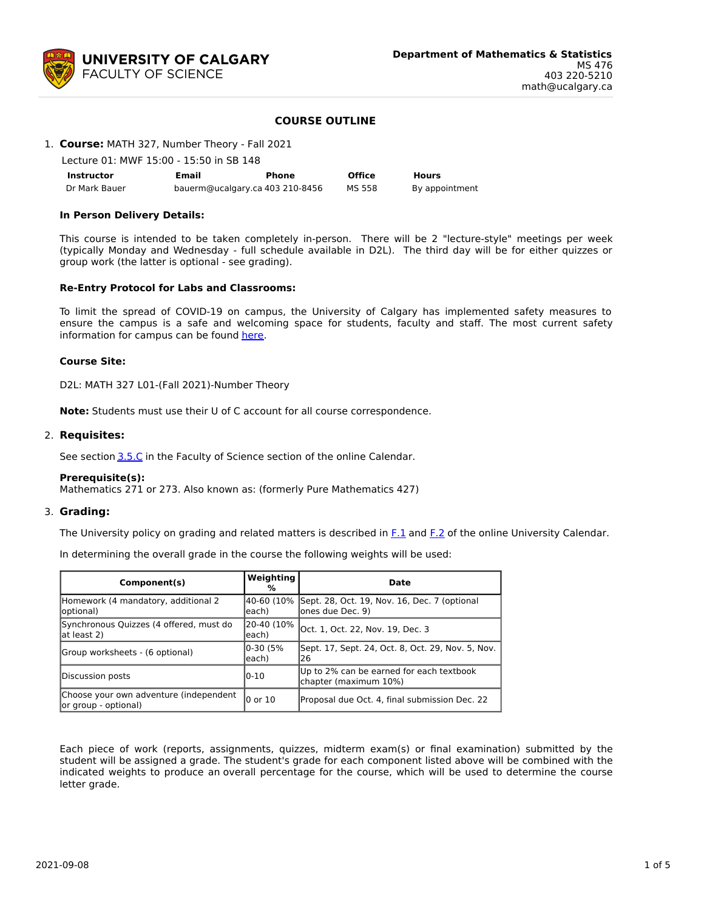

# **COURSE OUTLINE**

## 1. **Course:** MATH 327, Number Theory - Fall 2021

Lecture 01: MWF 15:00 - 15:50 in SB 148

| <b>Instructor</b> | Email                           | Phone | <b>Office</b> | <b>Hours</b>   |
|-------------------|---------------------------------|-------|---------------|----------------|
| Dr Mark Bauer     | bauerm@ucalgary.ca 403 210-8456 |       | MS 558        | By appointment |

#### **In Person Delivery Details:**

This course is intended to be taken completely in-person. There will be 2 "lecture-style" meetings per week (typically Monday and Wednesday - full schedule available in D2L). The third day will be for either quizzes or group work (the latter is optional - see grading).

#### **Re-Entry Protocol for Labs and Classrooms:**

To limit the spread of COVID-19 on campus, the University of Calgary has implemented safety measures to ensure the campus is a safe and welcoming space for students, faculty and staff. The most current safety information for campus can be found [here](https://www.ucalgary.ca/risk/emergency-management/covid-19-response/return-campus-safety).

#### **Course Site:**

D2L: MATH 327 L01-(Fall 2021)-Number Theory

**Note:** Students must use their U of C account for all course correspondence.

#### 2. **Requisites:**

See section [3.5.C](http://www.ucalgary.ca/pubs/calendar/current/sc-3-5.html) in the Faculty of Science section of the online Calendar.

#### **Prerequisite(s):**

Mathematics 271 or 273. Also known as: (formerly Pure Mathematics 427)

# 3. **Grading:**

The University policy on grading and related matters is described in  $F<sub>1</sub>$  and  $F<sub>2</sub>$  of the online University Calendar.

In determining the overall grade in the course the following weights will be used:

| Component(s)                                                    | Weighting<br>%      | Date                                                                         |
|-----------------------------------------------------------------|---------------------|------------------------------------------------------------------------------|
| Homework (4 mandatory, additional 2<br>(loptional               | leach)              | 40-60 (10% Sept. 28, Oct. 19, Nov. 16, Dec. 7 (optional<br>lones due Dec. 9) |
| Synchronous Quizzes (4 offered, must do<br>lat least 2)         | 20-40 (10%<br>each) | Oct. 1, Oct. 22, Nov. 19, Dec. 3                                             |
| Group worksheets - (6 optional)                                 | 0-30 (5%<br>each)   | Sept. 17, Sept. 24, Oct. 8, Oct. 29, Nov. 5, Nov.<br>26                      |
| Discussion posts                                                | 10-10               | Up to 2% can be earned for each textbook<br>chapter (maximum 10%)            |
| Choose your own adventure (independent<br>lor group - optional) | l0 or 10            | Proposal due Oct. 4, final submission Dec. 22                                |

Each piece of work (reports, assignments, quizzes, midterm exam(s) or final examination) submitted by the student will be assigned a grade. The student's grade for each component listed above will be combined with the indicated weights to produce an overall percentage for the course, which will be used to determine the course letter grade.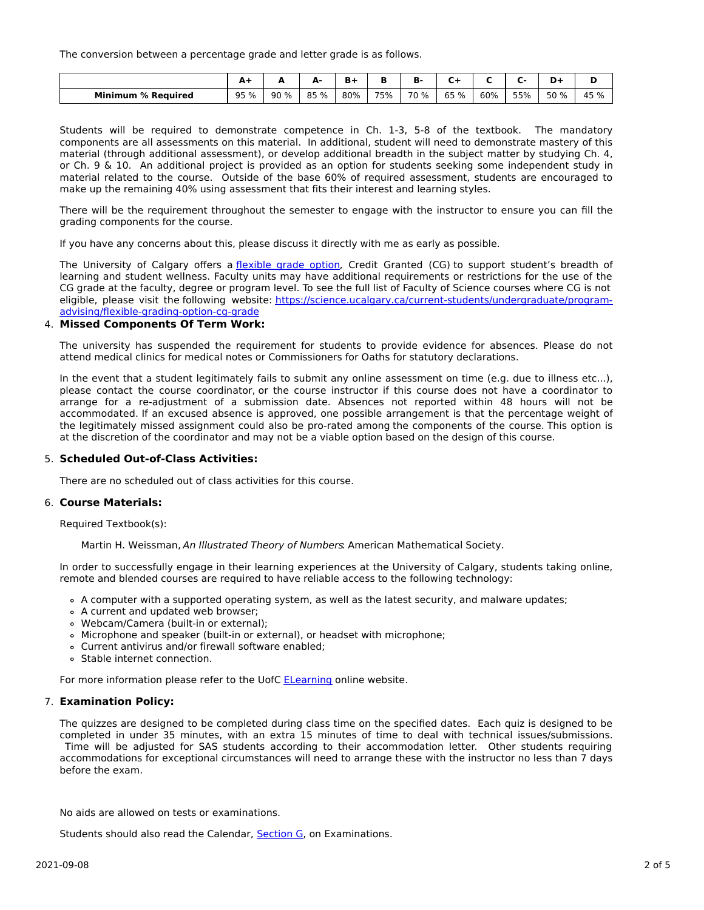The conversion between a percentage grade and letter grade is as follows.

|                                | . .  | -    | А.   | B-l |     | D.   |      |     |     | D+   | Ð<br>м |
|--------------------------------|------|------|------|-----|-----|------|------|-----|-----|------|--------|
| <b>Minimum</b><br>। % Reauired | 95 % | 90 % | 85 % | 80% | 75% | 70 % | 65 % | 60% | 55% | 50 % | 45 %   |

Students will be required to demonstrate competence in Ch. 1-3, 5-8 of the textbook. The mandatory components are all assessments on this material. In additional, student will need to demonstrate mastery of this material (through additional assessment), or develop additional breadth in the subject matter by studying Ch. 4, or Ch. 9 & 10. An additional project is provided as an option for students seeking some independent study in material related to the course. Outside of the base 60% of required assessment, students are encouraged to make up the remaining 40% using assessment that fits their interest and learning styles.

There will be the requirement throughout the semester to engage with the instructor to ensure you can fill the grading components for the course.

If you have any concerns about this, please discuss it directly with me as early as possible.

The University of Calgary offers a [flexible](https://www.ucalgary.ca/pubs/calendar/current/f-1-3.html) grade option, Credit Granted (CG) to support student's breadth of learning and student wellness. Faculty units may have additional requirements or restrictions for the use of the CG grade at the faculty, degree or program level. To see the full list of Faculty of Science courses where CG is not eligible, please visit the following website: [https://science.ucalgary.ca/current-students/undergraduate/program](https://science.ucalgary.ca/current-students/undergraduate/program-advising/flexible-grading-option-cg-grade)advising/flexible-grading-option-cg-grade

#### 4. **Missed Components Of Term Work:**

The university has suspended the requirement for students to provide evidence for absences. Please do not attend medical clinics for medical notes or Commissioners for Oaths for statutory declarations.

In the event that a student legitimately fails to submit any online assessment on time (e.g. due to illness etc...), please contact the course coordinator, or the course instructor if this course does not have a coordinator to arrange for a re-adjustment of a submission date. Absences not reported within 48 hours will not be accommodated. If an excused absence is approved, one possible arrangement is that the percentage weight of the legitimately missed assignment could also be pro-rated among the components of the course. This option is at the discretion of the coordinator and may not be a viable option based on the design of this course.

## 5. **Scheduled Out-of-Class Activities:**

There are no scheduled out of class activities for this course.

# 6. **Course Materials:**

Required Textbook(s):

Martin H. Weissman, An Illustrated Theory of Numbers. American Mathematical Society.

In order to successfully engage in their learning experiences at the University of Calgary, students taking online, remote and blended courses are required to have reliable access to the following technology:

- A computer with a supported operating system, as well as the latest security, and malware updates;
- A current and updated web browser;
- Webcam/Camera (built-in or external);
- Microphone and speaker (built-in or external), or headset with microphone;
- Current antivirus and/or firewall software enabled;
- Stable internet connection.

For more information please refer to the UofC **[ELearning](https://elearn.ucalgary.ca/technology-requirements-for-students)** online website.

#### 7. **Examination Policy:**

The quizzes are designed to be completed during class time on the specified dates. Each quiz is designed to be completed in under 35 minutes, with an extra 15 minutes of time to deal with technical issues/submissions. Time will be adjusted for SAS students according to their accommodation letter. Other students requiring accommodations for exceptional circumstances will need to arrange these with the instructor no less than 7 days before the exam.

No aids are allowed on tests or examinations.

Students should also read the Calendar, [Section](http://www.ucalgary.ca/pubs/calendar/current/g.html) G, on Examinations.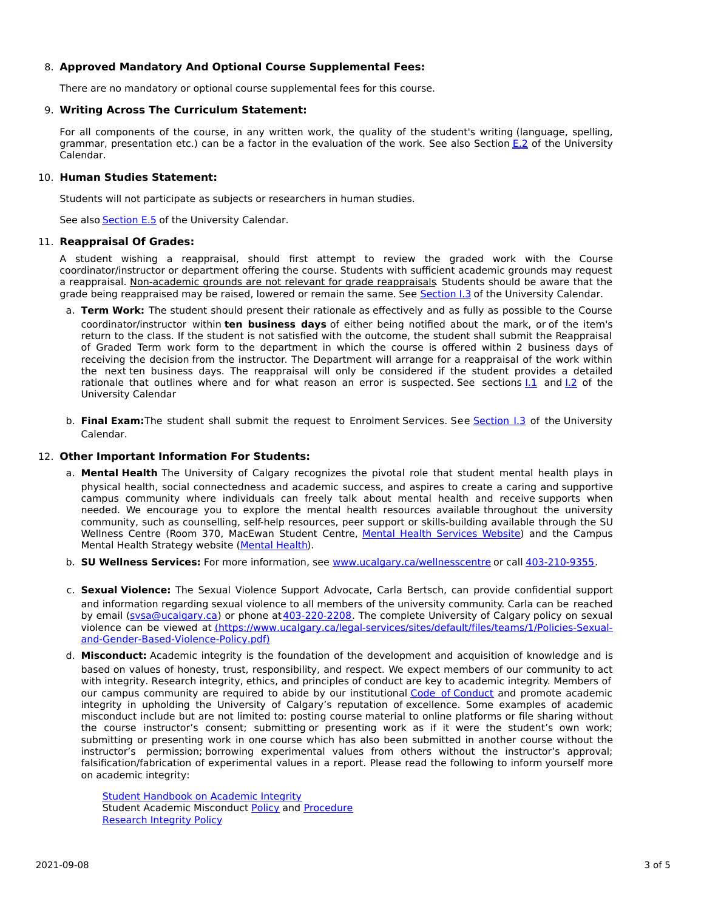# 8. **Approved Mandatory And Optional Course Supplemental Fees:**

There are no mandatory or optional course supplemental fees for this course.

# 9. **Writing Across The Curriculum Statement:**

For all components of the course, in any written work, the quality of the student's writing (language, spelling, grammar, presentation etc.) can be a factor in the evaluation of the work. See also Section [E.2](http://www.ucalgary.ca/pubs/calendar/current/e-2.html) of the University Calendar.

# 10. **Human Studies Statement:**

Students will not participate as subjects or researchers in human studies.

See also [Section](http://www.ucalgary.ca/pubs/calendar/current/e-5.html) E.5 of the University Calendar.

#### 11. **Reappraisal Of Grades:**

A student wishing a reappraisal, should first attempt to review the graded work with the Course coordinator/instructor or department offering the course. Students with sufficient academic grounds may request a reappraisal. Non-academic grounds are not relevant for grade reappraisals. Students should be aware that the grade being reappraised may be raised, lowered or remain the same. See [Section](http://www.ucalgary.ca/pubs/calendar/current/i-3.html) I.3 of the University Calendar.

- a. **Term Work:** The student should present their rationale as effectively and as fully as possible to the Course coordinator/instructor within **ten business days** of either being notified about the mark, or of the item's return to the class. If the student is not satisfied with the outcome, the student shall submit the Reappraisal of Graded Term work form to the department in which the course is offered within 2 business days of receiving the decision from the instructor. The Department will arrange for a reappraisal of the work within the next ten business days. The reappraisal will only be considered if the student provides a detailed rationale that outlines where and for what reason an error is suspected. See sections [I.1](http://www.ucalgary.ca/pubs/calendar/current/i-1.html) and [I.2](http://www.ucalgary.ca/pubs/calendar/current/i-2.html) of the University Calendar
- b. **Final Exam:**The student shall submit the request to Enrolment Services. See [Section](http://www.ucalgary.ca/pubs/calendar/current/i-3.html) I.3 of the University Calendar.

## 12. **Other Important Information For Students:**

- a. **Mental Health** The University of Calgary recognizes the pivotal role that student mental health plays in physical health, social connectedness and academic success, and aspires to create a caring and supportive campus community where individuals can freely talk about mental health and receive supports when needed. We encourage you to explore the mental health resources available throughout the university community, such as counselling, self-help resources, peer support or skills-building available through the SU Wellness Centre (Room 370, MacEwan Student Centre, Mental Health [Services](https://www.ucalgary.ca/wellnesscentre/services/mental-health-services) Website) and the Campus Mental Health Strategy website [\(Mental](http://www.ucalgary.ca/mentalhealth) Health).
- b. **SU Wellness Services:** For more information, see [www.ucalgary.ca/wellnesscentre](http://www.ucalgary.ca/wellnesscentre) or call [403-210-9355.](tel:4032109355)
- c. **Sexual Violence:** The Sexual Violence Support Advocate, Carla Bertsch, can provide confidential support and information regarding sexual violence to all members of the university community. Carla can be reached by email [\(svsa@ucalgary.ca](mailto:svsa@ucalgary.ca)) or phone at [403-220-2208](tel:4032202208). The complete University of Calgary policy on sexual violence can be viewed at [\(https://www.ucalgary.ca/legal-services/sites/default/files/teams/1/Policies-Sexual](https://www.ucalgary.ca/legal-services/sites/default/files/teams/1/Policies-Sexual-and-Gender-Based-Violence-Policy.pdf)and-Gender-Based-Violence-Policy.pdf)
- d. **Misconduct:** Academic integrity is the foundation of the development and acquisition of knowledge and is based on values of honesty, trust, responsibility, and respect. We expect members of our community to act with integrity. Research integrity, ethics, and principles of conduct are key to academic integrity. Members of our campus community are required to abide by our institutional Code of [Conduct](https://www.ucalgary.ca/legal-services/sites/default/files/teams/1/Policies-Code-of-Conduct.pdf) and promote academic integrity in upholding the University of Calgary's reputation of excellence. Some examples of academic misconduct include but are not limited to: posting course material to online platforms or file sharing without the course instructor's consent; submitting or presenting work as if it were the student's own work; submitting or presenting work in one course which has also been submitted in another course without the instructor's permission; borrowing experimental values from others without the instructor's approval; falsification/fabrication of experimental values in a report. Please read the following to inform yourself more on academic integrity:

**Student [Handbook](https://www.ucalgary.ca/live-uc-ucalgary-site/sites/default/files/teams/9/AI-Student-handbook-1.pdf) on Academic Integrity** Student Academic Misconduct [Policy](https://www.ucalgary.ca/legal-services/sites/default/files/teams/1/Policies-Student-Academic-Misconduct-Policy.pdf) and [Procedure](https://www.ucalgary.ca/legal-services/sites/default/files/teams/1/Policies-Student-Academic-Misconduct-Procedure.pdf) [Research](https://www.ucalgary.ca/legal-services/sites/default/files/teams/1/Policies-Research-Integrity-Policy.pdf) Integrity Policy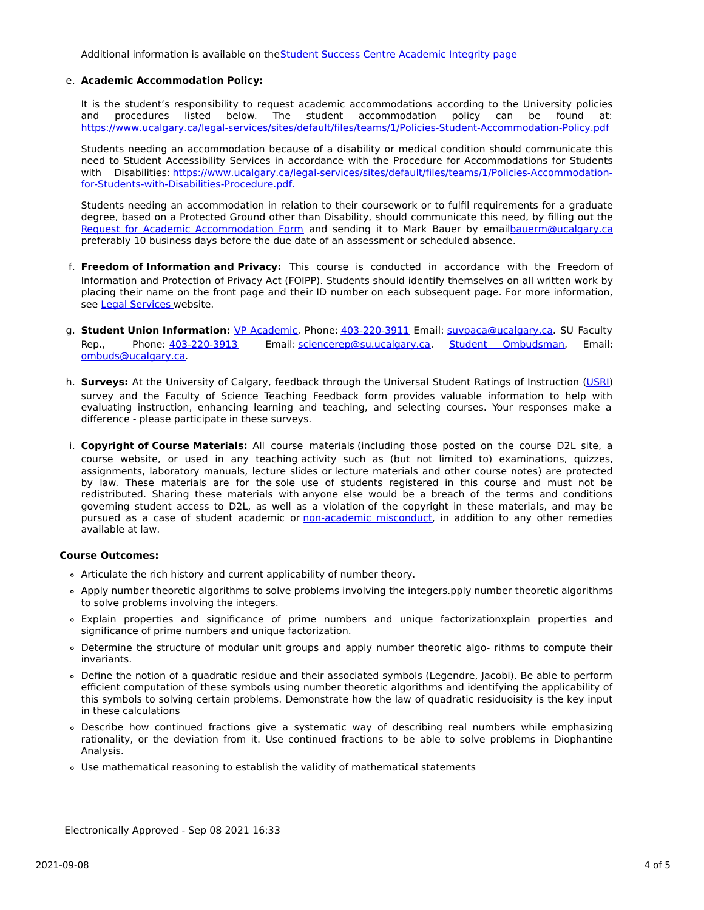Additional information is available on the Student Success Centre [Academic](https://ucalgary.ca/student-services/student-success/learning/academic-integrity) Integrity page

#### e. **Academic Accommodation Policy:**

It is the student's responsibility to request academic accommodations according to the University policies and procedures listed below. The student accommodation policy can be found at: <https://www.ucalgary.ca/legal-services/sites/default/files/teams/1/Policies-Student-Accommodation-Policy.pdf>

Students needing an accommodation because of a disability or medical condition should communicate this need to Student Accessibility Services in accordance with the Procedure for Accommodations for Students with Disabilities: [https://www.ucalgary.ca/legal-services/sites/default/files/teams/1/Policies-Accommodation](https://www.ucalgary.ca/legal-services/sites/default/files/teams/1/Policies-Accommodation-for-Students-with-Disabilities-Procedure.pdf)for-Students-with-Disabilities-Procedure.pdf.

Students needing an accommodation in relation to their coursework or to fulfil requirements for a graduate degree, based on a Protected Ground other than Disability, should communicate this need, by filling out the Request for Academic [Accommodation](https://science.ucalgary.ca/sites/default/files/teams/1/request-accommodation-academic-courses.pdf) Form and sending it to Mark Bauer by emai[lbauerm@ucalgary.ca](mailto:bauerm@ucalgary.ca) preferably 10 business days before the due date of an assessment or scheduled absence.

- f. **Freedom of Information and Privacy:** This course is conducted in accordance with the Freedom of Information and Protection of Privacy Act (FOIPP). Students should identify themselves on all written work by placing their name on the front page and their ID number on each subsequent page. For more information, see Legal [Services](https://www.ucalgary.ca/legal-services/access-information-privacy) website.
- g. **Student Union Information:** VP [Academic](http://www.su.ucalgary.ca/contact), Phone: [403-220-3911](tel:4032203911) Email: [suvpaca@ucalgary.ca](mailto:suvpaca@ucalgary.ca). SU Faculty Rep., Phone: [403-220-3913](tel:4032203913) Email: [sciencerep@su.ucalgary.ca](mailto:sciencerep@su.ucalgary.ca). Student [Ombudsman](https://www.ucalgary.ca/ombuds/), Email: [ombuds@ucalgary.ca](mailto:%20ombuds@ucalgary.ca).
- h. **Surveys:** At the University of Calgary, feedback through the Universal Student Ratings of Instruction [\(USRI](http://www.ucalgary.ca/usri)) survey and the Faculty of Science Teaching Feedback form provides valuable information to help with evaluating instruction, enhancing learning and teaching, and selecting courses. Your responses make a difference - please participate in these surveys.
- i. **Copyright of Course Materials:** All course materials (including those posted on the course D2L site, a course website, or used in any teaching activity such as (but not limited to) examinations, quizzes, assignments, laboratory manuals, lecture slides or lecture materials and other course notes) are protected by law. These materials are for the sole use of students registered in this course and must not be redistributed. Sharing these materials with anyone else would be a breach of the terms and conditions governing student access to D2L, as well as a violation of the copyright in these materials, and may be pursued as a case of student academic or [non-academic](https://www.ucalgary.ca/conduct/policy/non-academic-misconduct-policy) misconduct, in addition to any other remedies available at law.

# **Course Outcomes:**

- Articulate the rich history and current applicability of number theory.
- Apply number theoretic algorithms to solve problems involving the integers.pply number theoretic algorithms to solve problems involving the integers.
- Explain properties and significance of prime numbers and unique factorizationxplain properties and significance of prime numbers and unique factorization.
- Determine the structure of modular unit groups and apply number theoretic algo- rithms to compute their invariants.
- Define the notion of a quadratic residue and their associated symbols (Legendre, Jacobi). Be able to perform efficient computation of these symbols using number theoretic algorithms and identifying the applicability of this symbols to solving certain problems. Demonstrate how the law of quadratic residuoisity is the key input in these calculations
- Describe how continued fractions give a systematic way of describing real numbers while emphasizing rationality, or the deviation from it. Use continued fractions to be able to solve problems in Diophantine Analysis.
- Use mathematical reasoning to establish the validity of mathematical statements